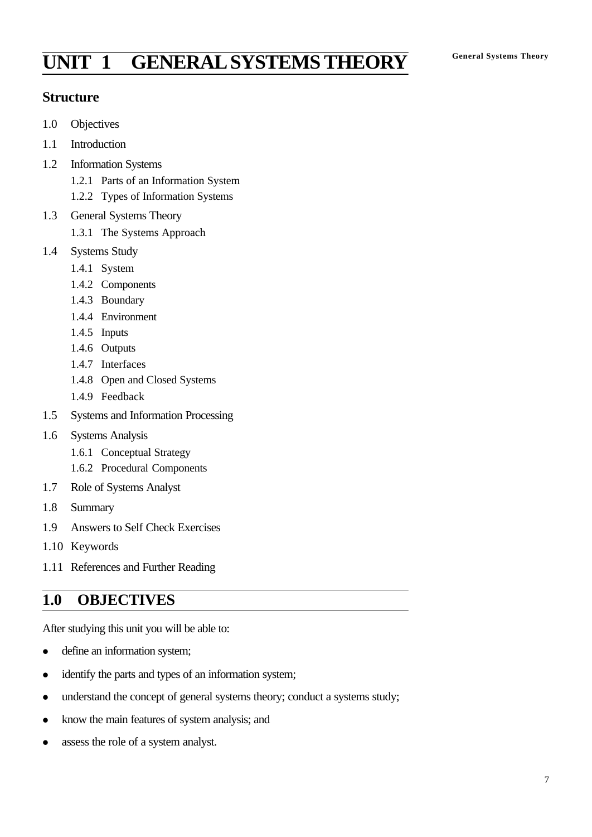# **General Systems Theory UNIT 1 GENERAL SYSTEMS THEORY**

## **Structure**

- 1.0 Objectives
- 1.1 Introduction
- 1.2 Information Systems
	- 1.2.1 Parts of an Information System
	- 1.2.2 Types of Information Systems
- 1.3 General Systems Theory
	- 1.3.1 The Systems Approach
- 1.4 Systems Study
	- 1.4.1 System
	- 1.4.2 Components
	- 1.4.3 Boundary
	- 1.4.4 Environment
	- 1.4.5 Inputs
	- 1.4.6 Outputs
	- 1.4.7 Interfaces
	- 1.4.8 Open and Closed Systems
	- 1.4.9 Feedback
- 1.5 Systems and Information Processing
- 1.6 Systems Analysis
	- 1.6.1 Conceptual Strategy
	- 1.6.2 Procedural Components
- 1.7 Role of Systems Analyst
- 1.8 Summary
- 1.9 Answers to Self Check Exercises
- 1.10 Keywords
- 1.11 References and Further Reading

## **1.0 OBJECTIVES**

After studying this unit you will be able to:

- define an information system;
- identify the parts and types of an information system;
- understand the concept of general systems theory; conduct a systems study;
- know the main features of system analysis; and
- assess the role of a system analyst.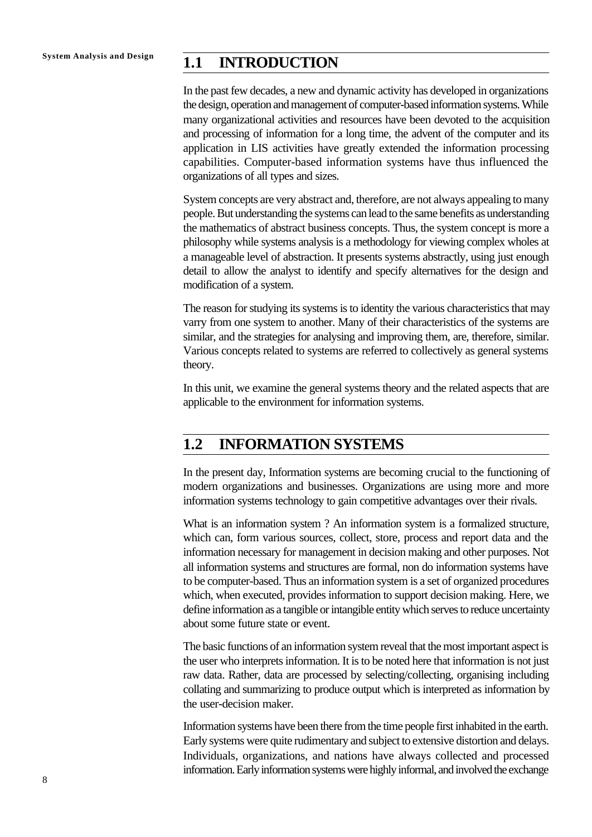# **System Analysis and Design 1.1 INTRODUCTION**

In the past few decades, a new and dynamic activity has developed in organizations the design, operation and management of computer-based information systems. While many organizational activities and resources have been devoted to the acquisition and processing of information for a long time, the advent of the computer and its application in LIS activities have greatly extended the information processing capabilities. Computer-based information systems have thus influenced the organizations of all types and sizes.

System concepts are very abstract and, therefore, are not always appealing to many people. But understanding the systems can lead to the same benefits as understanding the mathematics of abstract business concepts. Thus, the system concept is more a philosophy while systems analysis is a methodology for viewing complex wholes at a manageable level of abstraction. It presents systems abstractly, using just enough detail to allow the analyst to identify and specify alternatives for the design and modification of a system.

The reason for studying its systems is to identity the various characteristics that may varry from one system to another. Many of their characteristics of the systems are similar, and the strategies for analysing and improving them, are, therefore, similar. Various concepts related to systems are referred to collectively as general systems theory.

In this unit, we examine the general systems theory and the related aspects that are applicable to the environment for information systems.

## **1.2 INFORMATION SYSTEMS**

In the present day, Information systems are becoming crucial to the functioning of modern organizations and businesses. Organizations are using more and more information systems technology to gain competitive advantages over their rivals.

What is an information system ? An information system is a formalized structure, which can, form various sources, collect, store, process and report data and the information necessary for management in decision making and other purposes. Not all information systems and structures are formal, non do information systems have to be computer-based. Thus an information system is a set of organized procedures which, when executed, provides information to support decision making. Here, we define information as a tangible or intangible entity which serves to reduce uncertainty about some future state or event.

The basic functions of an information system reveal that the most important aspect is the user who interprets information. It is to be noted here that information is not just raw data. Rather, data are processed by selecting/collecting, organising including collating and summarizing to produce output which is interpreted as information by the user-decision maker.

Information systems have been there from the time people first inhabited in the earth. Early systems were quite rudimentary and subject to extensive distortion and delays. Individuals, organizations, and nations have always collected and processed information. Early information systems were highly informal, and involved the exchange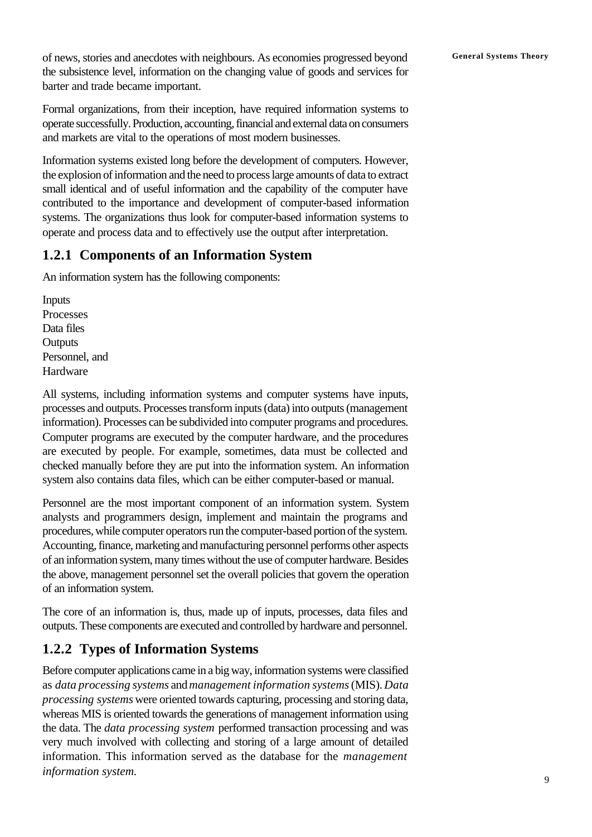of news, stories and anecdotes with neighbours. As economies progressed beyond **General Systems Theory** the subsistence level, information on the changing value of goods and services for barter and trade became important.

Formal organizations, from their inception, have required information systems to operate successfully. Production, accounting, financial and external data on consumers and markets are vital to the operations of most modern businesses.

Information systems existed long before the development of computers. However, the explosion of information and the need to process large amounts of data to extract small identical and of useful information and the capability of the computer have contributed to the importance and development of computer-based information systems. The organizations thus look for computer-based information systems to operate and process data and to effectively use the output after interpretation.

## **1.2.1 Components of an Information System**

An information system has the following components:

Inputs Processes Data files **Outputs** Personnel, and Hardware

All systems, including information systems and computer systems have inputs, processes and outputs. Processes transform inputs (data) into outputs (management information). Processes can be subdivided into computer programs and procedures. Computer programs are executed by the computer hardware, and the procedures are executed by people. For example, sometimes, data must be collected and checked manually before they are put into the information system. An information system also contains data files, which can be either computer-based or manual.

Personnel are the most important component of an information system. System analysts and programmers design, implement and maintain the programs and procedures, while computer operators run the computer-based portion of the system. Accounting, finance, marketing and manufacturing personnel performs other aspects of an information system, many times without the use of computer hardware. Besides the above, management personnel set the overall policies that govern the operation of an information system.

The core of an information is, thus, made up of inputs, processes, data files and outputs. These components are executed and controlled by hardware and personnel.

# **1.2.2 Types of Information Systems**

Before computer applications came in a big way, information systems were classified as *data processing systems* and *management information systems* (MIS). *Data processing systems* were oriented towards capturing, processing and storing data, whereas MIS is oriented towards the generations of management information using the data. The *data processing system* performed transaction processing and was very much involved with collecting and storing of a large amount of detailed information. This information served as the database for the *management information system.*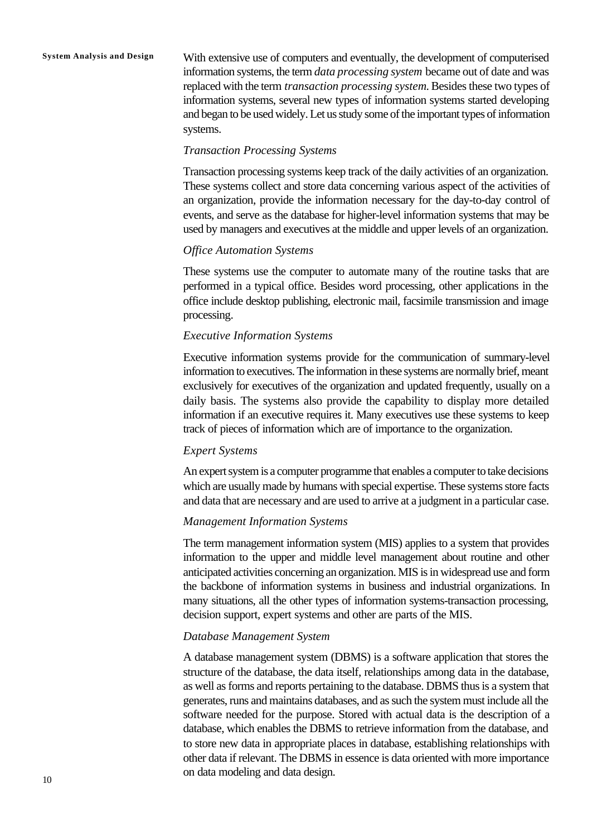**System Analysis and Design** With extensive use of computers and eventually, the development of computerised information systems, the term *data processing system* became out of date and was replaced with the term *transaction processing system.* Besides these two types of information systems, several new types of information systems started developing and began to be used widely. Let us study some of the important types of information systems.

#### *Transaction Processing Systems*

Transaction processing systems keep track of the daily activities of an organization. These systems collect and store data concerning various aspect of the activities of an organization, provide the information necessary for the day-to-day control of events, and serve as the database for higher-level information systems that may be used by managers and executives at the middle and upper levels of an organization.

#### *Office Automation Systems*

These systems use the computer to automate many of the routine tasks that are performed in a typical office. Besides word processing, other applications in the office include desktop publishing, electronic mail, facsimile transmission and image processing.

#### *Executive Information Systems*

Executive information systems provide for the communication of summary-level information to executives. The information in these systems are normally brief, meant exclusively for executives of the organization and updated frequently, usually on a daily basis. The systems also provide the capability to display more detailed information if an executive requires it. Many executives use these systems to keep track of pieces of information which are of importance to the organization.

#### *Expert Systems*

An expert system is a computer programme that enables a computer to take decisions which are usually made by humans with special expertise. These systems store facts and data that are necessary and are used to arrive at a judgment in a particular case.

#### *Management Information Systems*

The term management information system (MIS) applies to a system that provides information to the upper and middle level management about routine and other anticipated activities concerning an organization. MIS is in widespread use and form the backbone of information systems in business and industrial organizations. In many situations, all the other types of information systems-transaction processing, decision support, expert systems and other are parts of the MIS.

#### *Database Management System*

A database management system (DBMS) is a software application that stores the structure of the database, the data itself, relationships among data in the database, as well as forms and reports pertaining to the database. DBMS thus is a system that generates, runs and maintains databases, and as such the system must include all the software needed for the purpose. Stored with actual data is the description of a database, which enables the DBMS to retrieve information from the database, and to store new data in appropriate places in database, establishing relationships with other data if relevant. The DBMS in essence is data oriented with more importance on data modeling and data design.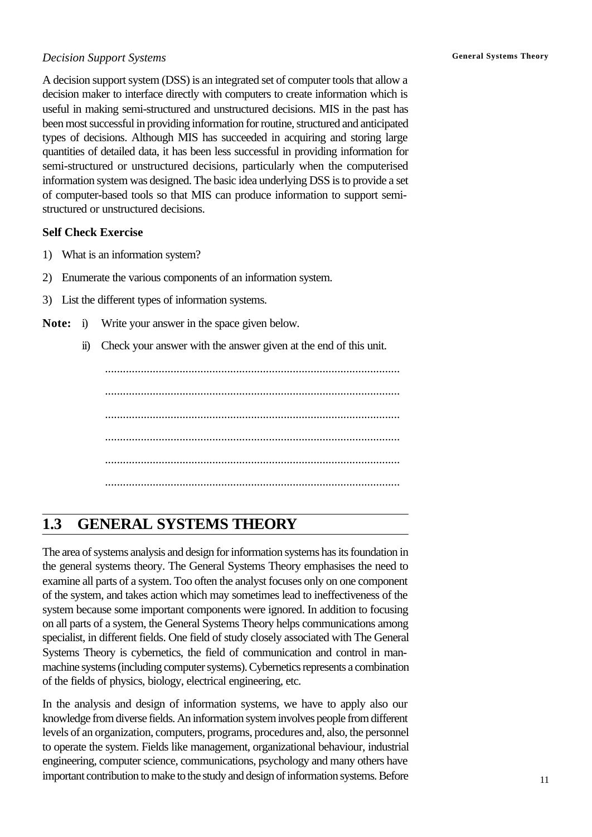#### *Decision Support Systems* **General Systems Theory**

A decision support system (DSS) is an integrated set of computer tools that allow a decision maker to interface directly with computers to create information which is useful in making semi-structured and unstructured decisions. MIS in the past has been most successful in providing information for routine, structured and anticipated types of decisions. Although MIS has succeeded in acquiring and storing large quantities of detailed data, it has been less successful in providing information for semi-structured or unstructured decisions, particularly when the computerised information system was designed. The basic idea underlying DSS is to provide a set of computer-based tools so that MIS can produce information to support semistructured or unstructured decisions.

#### **Self Check Exercise**

- 1) What is an information system?
- 2) Enumerate the various components of an information system.
- 3) List the different types of information systems.
- **Note:** i) Write your answer in the space given below.
	- ii) Check your answer with the answer given at the end of this unit.

................................................................................................... ................................................................................................... ................................................................................................... ................................................................................................... ................................................................................................... ...................................................................................................

# **1.3 GENERAL SYSTEMS THEORY**

The area of systems analysis and design for information systems has its foundation in the general systems theory. The General Systems Theory emphasises the need to examine all parts of a system. Too often the analyst focuses only on one component of the system, and takes action which may sometimes lead to ineffectiveness of the system because some important components were ignored. In addition to focusing on all parts of a system, the General Systems Theory helps communications among specialist, in different fields. One field of study closely associated with The General Systems Theory is cybernetics, the field of communication and control in manmachine systems (including computer systems). Cybernetics represents a combination of the fields of physics, biology, electrical engineering, etc.

In the analysis and design of information systems, we have to apply also our knowledge from diverse fields. An information system involves people from different levels of an organization, computers, programs, procedures and, also, the personnel to operate the system. Fields like management, organizational behaviour, industrial engineering, computer science, communications, psychology and many others have important contribution to make to the study and design of information systems. Before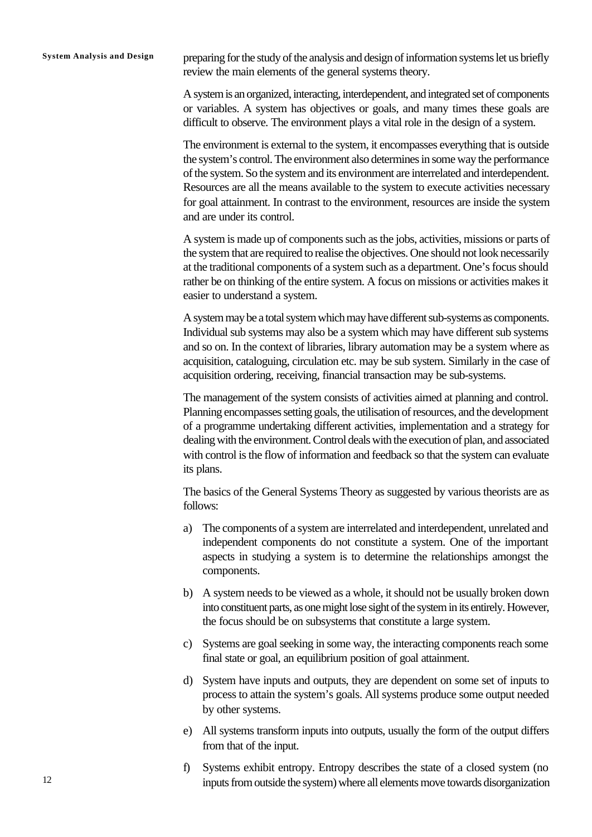**System Analysis and Design** preparing for the study of the analysis and design of information systems let us briefly review the main elements of the general systems theory.

> A system is an organized, interacting, interdependent, and integrated set of components or variables. A system has objectives or goals, and many times these goals are difficult to observe. The environment plays a vital role in the design of a system.

> The environment is external to the system, it encompasses everything that is outside the system's control. The environment also determines in some way the performance of the system. So the system and its environment are interrelated and interdependent. Resources are all the means available to the system to execute activities necessary for goal attainment. In contrast to the environment, resources are inside the system and are under its control.

> A system is made up of components such as the jobs, activities, missions or parts of the system that are required to realise the objectives. One should not look necessarily at the traditional components of a system such as a department. One's focus should rather be on thinking of the entire system. A focus on missions or activities makes it easier to understand a system.

> A system may be a total system which may have different sub-systems as components. Individual sub systems may also be a system which may have different sub systems and so on. In the context of libraries, library automation may be a system where as acquisition, cataloguing, circulation etc. may be sub system. Similarly in the case of acquisition ordering, receiving, financial transaction may be sub-systems.

> The management of the system consists of activities aimed at planning and control. Planning encompasses setting goals, the utilisation of resources, and the development of a programme undertaking different activities, implementation and a strategy for dealing with the environment. Control deals with the execution of plan, and associated with control is the flow of information and feedback so that the system can evaluate its plans.

> The basics of the General Systems Theory as suggested by various theorists are as follows:

- a) The components of a system are interrelated and interdependent, unrelated and independent components do not constitute a system. One of the important aspects in studying a system is to determine the relationships amongst the components.
- b) A system needs to be viewed as a whole, it should not be usually broken down into constituent parts, as one might lose sight of the system in its entirely. However, the focus should be on subsystems that constitute a large system.
- c) Systems are goal seeking in some way, the interacting components reach some final state or goal, an equilibrium position of goal attainment.
- d) System have inputs and outputs, they are dependent on some set of inputs to process to attain the system's goals. All systems produce some output needed by other systems.
- e) All systems transform inputs into outputs, usually the form of the output differs from that of the input.
- f) Systems exhibit entropy. Entropy describes the state of a closed system (no inputs from outside the system) where all elements move towards disorganization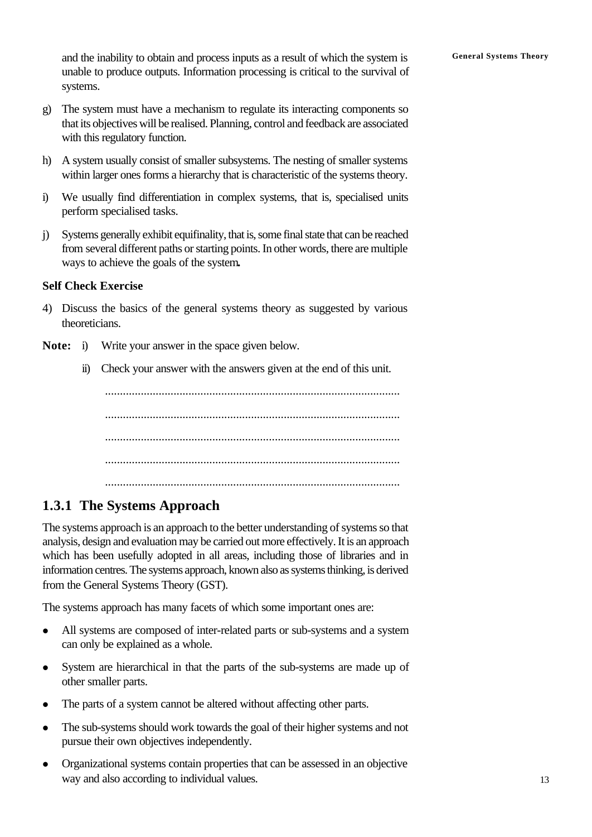and the inability to obtain and process inputs as a result of which the system is **General Systems Theory** unable to produce outputs. Information processing is critical to the survival of systems.

- g) The system must have a mechanism to regulate its interacting components so that its objectives will be realised. Planning, control and feedback are associated with this regulatory function.
- h) A system usually consist of smaller subsystems. The nesting of smaller systems within larger ones forms a hierarchy that is characteristic of the systems theory.
- i) We usually find differentiation in complex systems, that is, specialised units perform specialised tasks.
- j) Systems generally exhibit equifinality, that is, some final state that can be reached from several different paths or starting points. In other words, there are multiple ways to achieve the goals of the system**.**

#### **Self Check Exercise**

- 4) Discuss the basics of the general systems theory as suggested by various theoreticians.
- **Note:** i) Write your answer in the space given below.
	- ii) Check your answer with the answers given at the end of this unit.

................................................................................................... ................................................................................................... ................................................................................................... ................................................................................................... ...................................................................................................

## **1.3.1 The Systems Approach**

The systems approach is an approach to the better understanding of systems so that analysis, design and evaluation may be carried out more effectively. It is an approach which has been usefully adopted in all areas, including those of libraries and in information centres. The systems approach, known also as systems thinking, is derived from the General Systems Theory (GST).

The systems approach has many facets of which some important ones are:

- All systems are composed of inter-related parts or sub-systems and a system can only be explained as a whole.
- System are hierarchical in that the parts of the sub-systems are made up of other smaller parts.
- The parts of a system cannot be altered without affecting other parts.
- The sub-systems should work towards the goal of their higher systems and not pursue their own objectives independently.
- Organizational systems contain properties that can be assessed in an objective way and also according to individual values.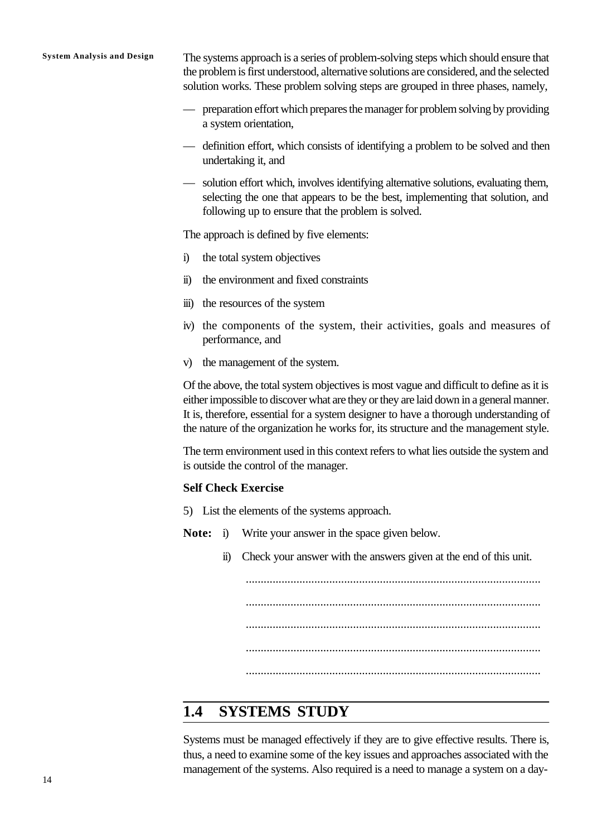**System Analysis and Design** The systems approach is a series of problem-solving steps which should ensure that the problem is first understood, alternative solutions are considered, and the selected solution works. These problem solving steps are grouped in three phases, namely,

- preparation effort which prepares the manager for problem solving by providing a system orientation,
- definition effort, which consists of identifying a problem to be solved and then undertaking it, and
- solution effort which, involves identifying alternative solutions, evaluating them, selecting the one that appears to be the best, implementing that solution, and following up to ensure that the problem is solved.

The approach is defined by five elements:

- i) the total system objectives
- ii) the environment and fixed constraints
- iii) the resources of the system
- iv) the components of the system, their activities, goals and measures of performance, and
- v) the management of the system.

Of the above, the total system objectives is most vague and difficult to define as it is either impossible to discover what are they or they are laid down in a general manner. It is, therefore, essential for a system designer to have a thorough understanding of the nature of the organization he works for, its structure and the management style.

The term environment used in this context refers to what lies outside the system and is outside the control of the manager.

#### **Self Check Exercise**

5) List the elements of the systems approach.

**Note:** i) Write your answer in the space given below.

ii) Check your answer with the answers given at the end of this unit.

................................................................................................... ................................................................................................... ................................................................................................... ...................................................................................................

#### ...................................................................................................

## **1.4 SYSTEMS STUDY**

Systems must be managed effectively if they are to give effective results. There is, thus, a need to examine some of the key issues and approaches associated with the management of the systems. Also required is a need to manage a system on a day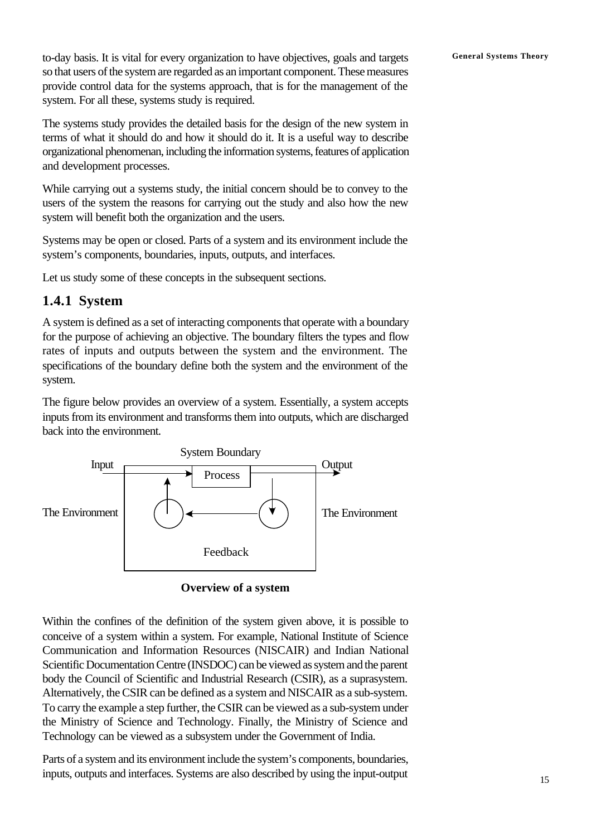**General Systems Theory** to-day basis. It is vital for every organization to have objectives, goals and targets so that users of the system are regarded as an important component. These measures provide control data for the systems approach, that is for the management of the system. For all these, systems study is required.

The systems study provides the detailed basis for the design of the new system in terms of what it should do and how it should do it. It is a useful way to describe organizational phenomenan, including the information systems, features of application and development processes.

While carrying out a systems study, the initial concern should be to convey to the users of the system the reasons for carrying out the study and also how the new system will benefit both the organization and the users.

Systems may be open or closed. Parts of a system and its environment include the system's components, boundaries, inputs, outputs, and interfaces.

Let us study some of these concepts in the subsequent sections.

#### **1.4.1 System**

A system is defined as a set of interacting components that operate with a boundary for the purpose of achieving an objective. The boundary filters the types and flow rates of inputs and outputs between the system and the environment. The specifications of the boundary define both the system and the environment of the system.

The figure below provides an overview of a system. Essentially, a system accepts inputs from its environment and transforms them into outputs, which are discharged back into the environment.



**Overview of a system**

Within the confines of the definition of the system given above, it is possible to conceive of a system within a system. For example, National Institute of Science Communication and Information Resources (NISCAIR) and Indian National Scientific Documentation Centre (INSDOC) can be viewed as system and the parent body the Council of Scientific and Industrial Research (CSIR), as a suprasystem. Alternatively, the CSIR can be defined as a system and NISCAIR as a sub-system. To carry the example a step further, the CSIR can be viewed as a sub-system under the Ministry of Science and Technology. Finally, the Ministry of Science and Technology can be viewed as a subsystem under the Government of India.

Parts of a system and its environment include the system's components, boundaries, inputs, outputs and interfaces. Systems are also described by using the input-output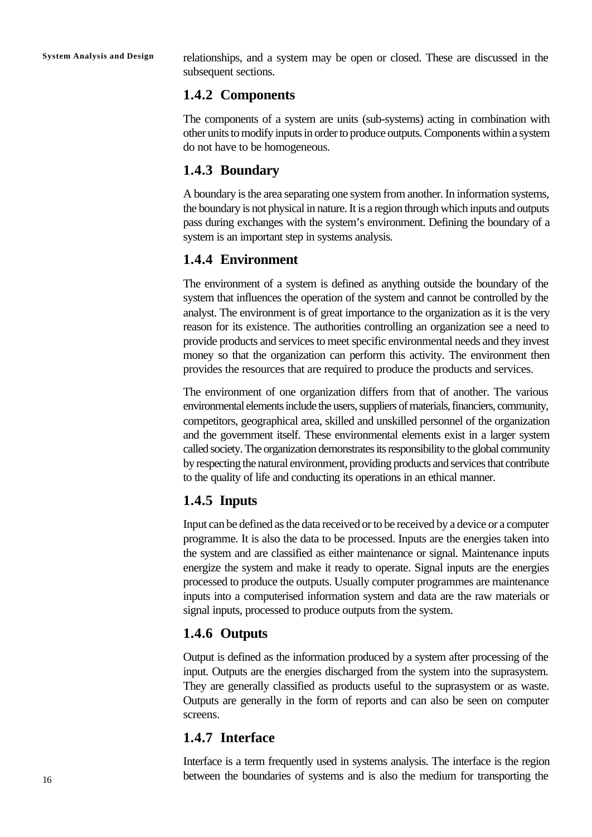**System Analysis and Design** relationships, and a system may be open or closed. These are discussed in the subsequent sections.

## **1.4.2 Components**

The components of a system are units (sub-systems) acting in combination with other units to modify inputs in order to produce outputs. Components within a system do not have to be homogeneous.

## **1.4.3 Boundary**

A boundary is the area separating one system from another. In information systems, the boundary is not physical in nature. It is a region through which inputs and outputs pass during exchanges with the system's environment. Defining the boundary of a system is an important step in systems analysis.

## **1.4.4 Environment**

The environment of a system is defined as anything outside the boundary of the system that influences the operation of the system and cannot be controlled by the analyst. The environment is of great importance to the organization as it is the very reason for its existence. The authorities controlling an organization see a need to provide products and services to meet specific environmental needs and they invest money so that the organization can perform this activity. The environment then provides the resources that are required to produce the products and services.

The environment of one organization differs from that of another. The various environmental elements include the users, suppliers of materials, financiers, community, competitors, geographical area, skilled and unskilled personnel of the organization and the government itself. These environmental elements exist in a larger system called society. The organization demonstrates its responsibility to the global community by respecting the natural environment, providing products and services that contribute to the quality of life and conducting its operations in an ethical manner.

## **1.4.5 Inputs**

Input can be defined as the data received or to be received by a device or a computer programme. It is also the data to be processed. Inputs are the energies taken into the system and are classified as either maintenance or signal. Maintenance inputs energize the system and make it ready to operate. Signal inputs are the energies processed to produce the outputs. Usually computer programmes are maintenance inputs into a computerised information system and data are the raw materials or signal inputs, processed to produce outputs from the system.

## **1.4.6 Outputs**

Output is defined as the information produced by a system after processing of the input. Outputs are the energies discharged from the system into the suprasystem. They are generally classified as products useful to the suprasystem or as waste. Outputs are generally in the form of reports and can also be seen on computer screens.

## **1.4.7 Interface**

Interface is a term frequently used in systems analysis. The interface is the region between the boundaries of systems and is also the medium for transporting the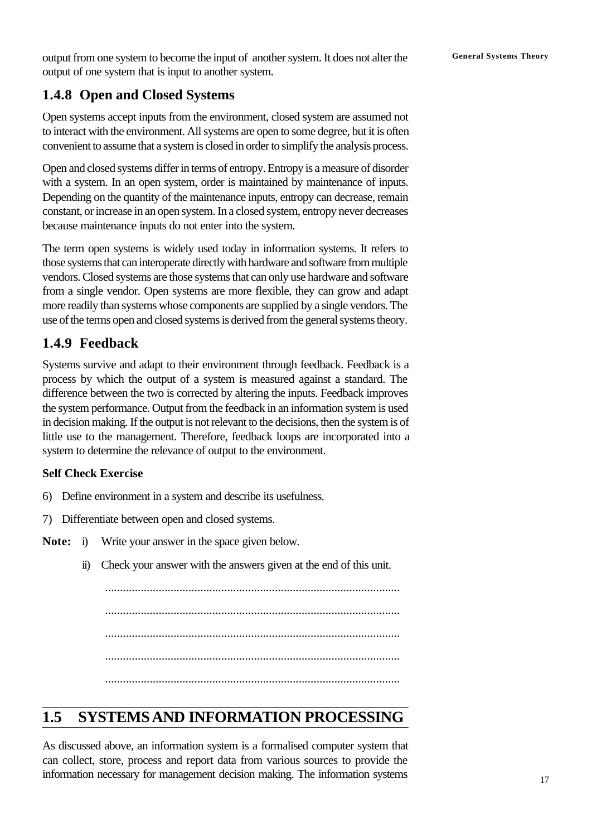output from one system to become the input of another system. It does not alter the **General Systems Theory** output of one system that is input to another system.

## **1.4.8 Open and Closed Systems**

Open systems accept inputs from the environment, closed system are assumed not to interact with the environment. All systems are open to some degree, but it is often convenient to assume that a system is closed in order to simplify the analysis process.

Open and closed systems differ in terms of entropy. Entropy is a measure of disorder with a system. In an open system, order is maintained by maintenance of inputs. Depending on the quantity of the maintenance inputs, entropy can decrease, remain constant, or increase in an open system. In a closed system, entropy never decreases because maintenance inputs do not enter into the system.

The term open systems is widely used today in information systems. It refers to those systems that can interoperate directly with hardware and software from multiple vendors. Closed systems are those systems that can only use hardware and software from a single vendor. Open systems are more flexible, they can grow and adapt more readily than systems whose components are supplied by a single vendors. The use of the terms open and closed systems is derived from the general systems theory.

## **1.4.9 Feedback**

Systems survive and adapt to their environment through feedback. Feedback is a process by which the output of a system is measured against a standard. The difference between the two is corrected by altering the inputs. Feedback improves the system performance. Output from the feedback in an information system is used in decision making. If the output is not relevant to the decisions, then the system is of little use to the management. Therefore, feedback loops are incorporated into a system to determine the relevance of output to the environment.

#### **Self Check Exercise**

- 6) Define environment in a system and describe its usefulness.
- 7) Differentiate between open and closed systems.
- **Note:** i) Write your answer in the space given below.
	- ii) Check your answer with the answers given at the end of this unit.

................................................................................................... ................................................................................................... ................................................................................................... ................................................................................................... ...................................................................................................

# **1.5 SYSTEMS AND INFORMATION PROCESSING**

As discussed above, an information system is a formalised computer system that can collect, store, process and report data from various sources to provide the information necessary for management decision making. The information systems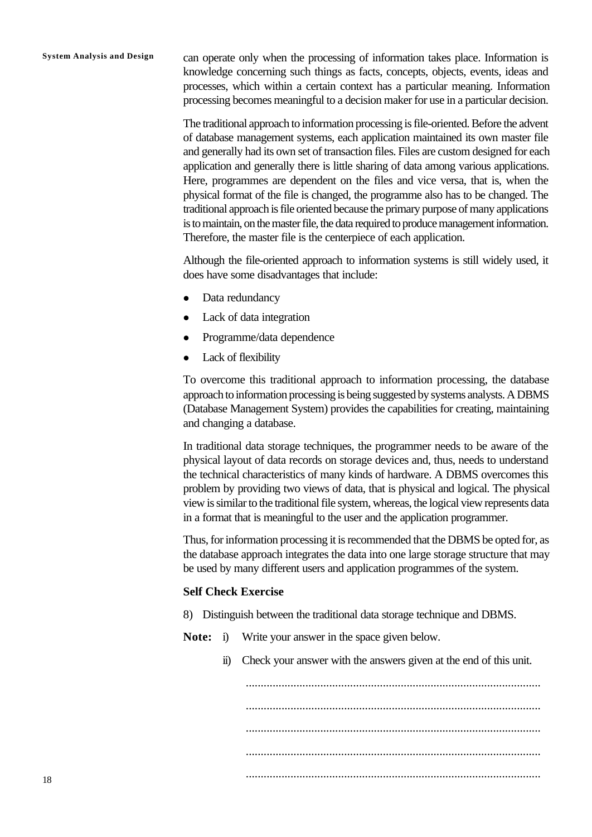**System Analysis and Design** can operate only when the processing of information takes place. Information is knowledge concerning such things as facts, concepts, objects, events, ideas and processes, which within a certain context has a particular meaning. Information processing becomes meaningful to a decision maker for use in a particular decision.

> The traditional approach to information processing is file-oriented. Before the advent of database management systems, each application maintained its own master file and generally had its own set of transaction files. Files are custom designed for each application and generally there is little sharing of data among various applications. Here, programmes are dependent on the files and vice versa, that is, when the physical format of the file is changed, the programme also has to be changed. The traditional approach is file oriented because the primary purpose of many applications is to maintain, on the master file, the data required to produce management information. Therefore, the master file is the centerpiece of each application.

> Although the file-oriented approach to information systems is still widely used, it does have some disadvantages that include:

- Data redundancy
- Lack of data integration
- Programme/data dependence
- Lack of flexibility

To overcome this traditional approach to information processing, the database approach to information processing is being suggested by systems analysts. A DBMS (Database Management System) provides the capabilities for creating, maintaining and changing a database.

In traditional data storage techniques, the programmer needs to be aware of the physical layout of data records on storage devices and, thus, needs to understand the technical characteristics of many kinds of hardware. A DBMS overcomes this problem by providing two views of data, that is physical and logical. The physical view is similar to the traditional file system, whereas, the logical view represents data in a format that is meaningful to the user and the application programmer.

Thus, for information processing it is recommended that the DBMS be opted for, as the database approach integrates the data into one large storage structure that may be used by many different users and application programmes of the system.

#### **Self Check Exercise**

- 8) Distinguish between the traditional data storage technique and DBMS.
- **Note:** i) Write your answer in the space given below.
	- ii) Check your answer with the answers given at the end of this unit.

................................................................................................... ................................................................................................... ................................................................................................... ................................................................................................... ...................................................................................................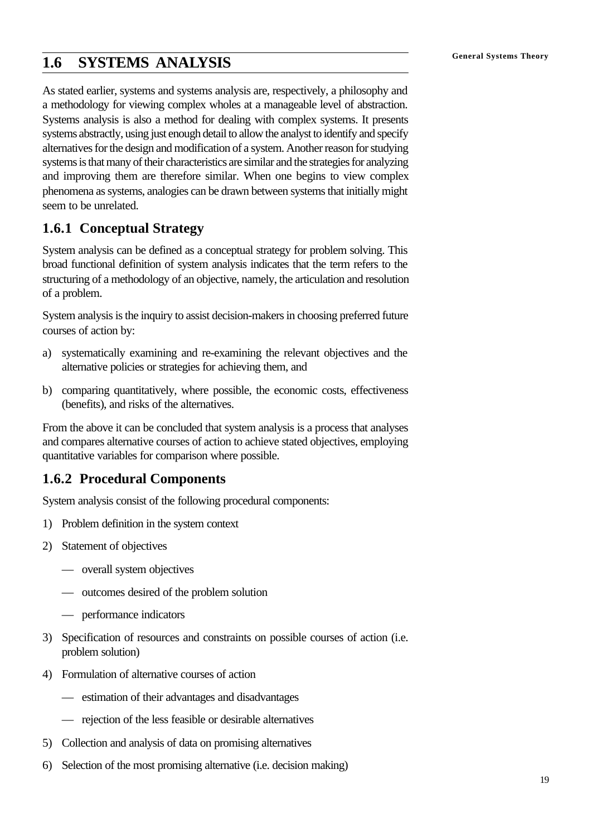# **General Systems Theory 1.6 SYSTEMS ANALYSIS**

As stated earlier, systems and systems analysis are, respectively, a philosophy and a methodology for viewing complex wholes at a manageable level of abstraction. Systems analysis is also a method for dealing with complex systems. It presents systems abstractly, using just enough detail to allow the analyst to identify and specify alternatives for the design and modification of a system. Another reason for studying systems is that many of their characteristics are similar and the strategies for analyzing and improving them are therefore similar. When one begins to view complex phenomena as systems, analogies can be drawn between systems that initially might seem to be unrelated.

## **1.6.1 Conceptual Strategy**

System analysis can be defined as a conceptual strategy for problem solving. This broad functional definition of system analysis indicates that the term refers to the structuring of a methodology of an objective, namely, the articulation and resolution of a problem.

System analysis is the inquiry to assist decision-makers in choosing preferred future courses of action by:

- a) systematically examining and re-examining the relevant objectives and the alternative policies or strategies for achieving them, and
- b) comparing quantitatively, where possible, the economic costs, effectiveness (benefits), and risks of the alternatives.

From the above it can be concluded that system analysis is a process that analyses and compares alternative courses of action to achieve stated objectives, employing quantitative variables for comparison where possible.

## **1.6.2 Procedural Components**

System analysis consist of the following procedural components:

- 1) Problem definition in the system context
- 2) Statement of objectives
	- overall system objectives
	- outcomes desired of the problem solution
	- performance indicators
- 3) Specification of resources and constraints on possible courses of action (i.e. problem solution)
- 4) Formulation of alternative courses of action
	- estimation of their advantages and disadvantages
	- rejection of the less feasible or desirable alternatives
- 5) Collection and analysis of data on promising alternatives
- 6) Selection of the most promising alternative (i.e. decision making)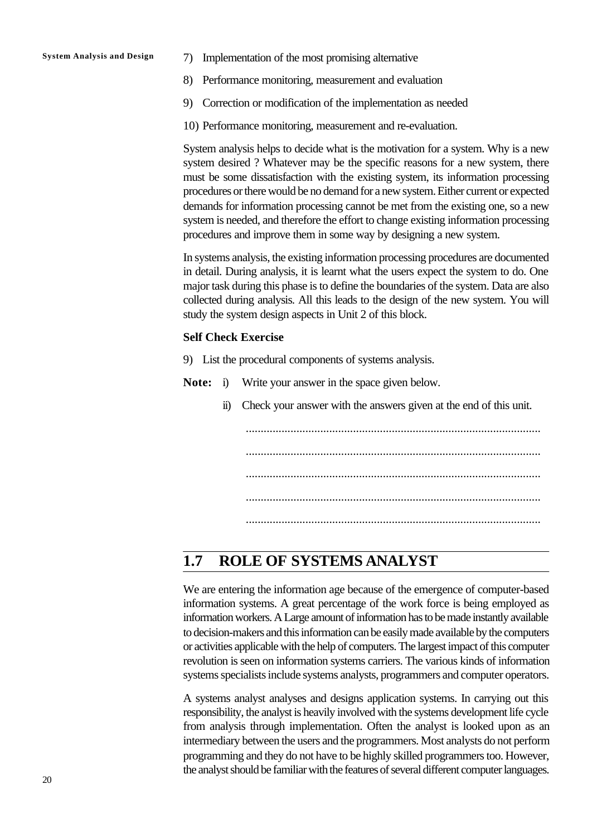- **System Analysis and Design 7) Implementation of the most promising alternative** 
	- 8) Performance monitoring, measurement and evaluation
	- 9) Correction or modification of the implementation as needed
	- 10) Performance monitoring, measurement and re-evaluation.

System analysis helps to decide what is the motivation for a system. Why is a new system desired ? Whatever may be the specific reasons for a new system, there must be some dissatisfaction with the existing system, its information processing procedures or there would be no demand for a new system. Either current or expected demands for information processing cannot be met from the existing one, so a new system is needed, and therefore the effort to change existing information processing procedures and improve them in some way by designing a new system.

In systems analysis, the existing information processing procedures are documented in detail. During analysis, it is learnt what the users expect the system to do. One major task during this phase is to define the boundaries of the system. Data are also collected during analysis. All this leads to the design of the new system. You will study the system design aspects in Unit 2 of this block.

#### **Self Check Exercise**

- 9) List the procedural components of systems analysis.
- **Note:** i) Write your answer in the space given below.
	- ii) Check your answer with the answers given at the end of this unit.

................................................................................................... ................................................................................................... ................................................................................................... ...................................................................................................

...................................................................................................

## **1.7 ROLE OF SYSTEMS ANALYST**

We are entering the information age because of the emergence of computer-based information systems. A great percentage of the work force is being employed as information workers. A Large amount of information has to be made instantly available to decision-makers and this information can be easily made available by the computers or activities applicable with the help of computers. The largest impact of this computer revolution is seen on information systems carriers. The various kinds of information systems specialists include systems analysts, programmers and computer operators.

A systems analyst analyses and designs application systems. In carrying out this responsibility, the analyst is heavily involved with the systems development life cycle from analysis through implementation. Often the analyst is looked upon as an intermediary between the users and the programmers. Most analysts do not perform programming and they do not have to be highly skilled programmers too. However, the analyst should be familiar with the features of several different computer languages.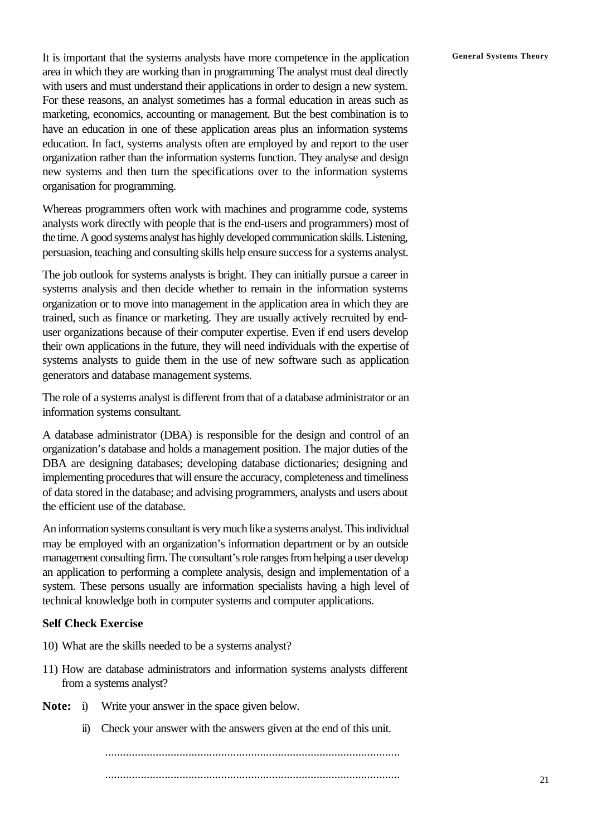It is important that the systems analysts have more competence in the application General Systems Theory area in which they are working than in programming The analyst must deal directly with users and must understand their applications in order to design a new system. For these reasons, an analyst sometimes has a formal education in areas such as marketing, economics, accounting or management. But the best combination is to have an education in one of these application areas plus an information systems education. In fact, systems analysts often are employed by and report to the user organization rather than the information systems function. They analyse and design new systems and then turn the specifications over to the information systems organisation for programming.

Whereas programmers often work with machines and programme code, systems analysts work directly with people that is the end-users and programmers) most of the time. A good systems analyst has highly developed communication skills. Listening, persuasion, teaching and consulting skills help ensure success for a systems analyst.

The job outlook for systems analysts is bright. They can initially pursue a career in systems analysis and then decide whether to remain in the information systems organization or to move into management in the application area in which they are trained, such as finance or marketing. They are usually actively recruited by enduser organizations because of their computer expertise. Even if end users develop their own applications in the future, they will need individuals with the expertise of systems analysts to guide them in the use of new software such as application generators and database management systems.

The role of a systems analyst is different from that of a database administrator or an information systems consultant.

A database administrator (DBA) is responsible for the design and control of an organization's database and holds a management position. The major duties of the DBA are designing databases; developing database dictionaries; designing and implementing procedures that will ensure the accuracy, completeness and timeliness of data stored in the database; and advising programmers, analysts and users about the efficient use of the database.

An information systems consultant is very much like a systems analyst. This individual may be employed with an organization's information department or by an outside management consulting firm. The consultant's role ranges from helping a user develop an application to performing a complete analysis, design and implementation of a system. These persons usually are information specialists having a high level of technical knowledge both in computer systems and computer applications.

#### **Self Check Exercise**

- 10) What are the skills needed to be a systems analyst?
- 11) How are database administrators and information systems analysts different from a systems analyst?
- **Note:** i) Write your answer in the space given below.
	- ii) Check your answer with the answers given at the end of this unit.

................................................................................................... ...................................................................................................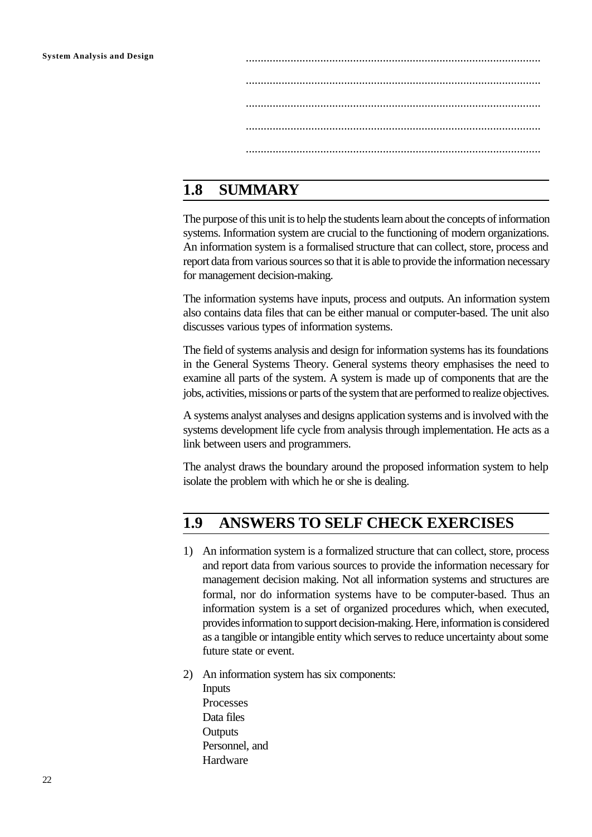**System Analysis and Design** ................................................................................................... ................................................................................................... ................................................................................................... ................................................................................................... ...................................................................................................

# **1.8 SUMMARY**

The purpose of this unit is to help the students learn about the concepts of information systems. Information system are crucial to the functioning of modern organizations. An information system is a formalised structure that can collect, store, process and report data from various sources so that it is able to provide the information necessary for management decision-making.

The information systems have inputs, process and outputs. An information system also contains data files that can be either manual or computer-based. The unit also discusses various types of information systems.

The field of systems analysis and design for information systems has its foundations in the General Systems Theory. General systems theory emphasises the need to examine all parts of the system. A system is made up of components that are the jobs, activities, missions or parts of the system that are performed to realize objectives.

A systems analyst analyses and designs application systems and is involved with the systems development life cycle from analysis through implementation. He acts as a link between users and programmers.

The analyst draws the boundary around the proposed information system to help isolate the problem with which he or she is dealing.

# **1.9 ANSWERS TO SELF CHECK EXERCISES**

- 1) An information system is a formalized structure that can collect, store, process and report data from various sources to provide the information necessary for management decision making. Not all information systems and structures are formal, nor do information systems have to be computer-based. Thus an information system is a set of organized procedures which, when executed, provides information to support decision-making. Here, information is considered as a tangible or intangible entity which serves to reduce uncertainty about some future state or event.
- 2) An information system has six components: Inputs Processes Data files **Outputs** Personnel, and Hardware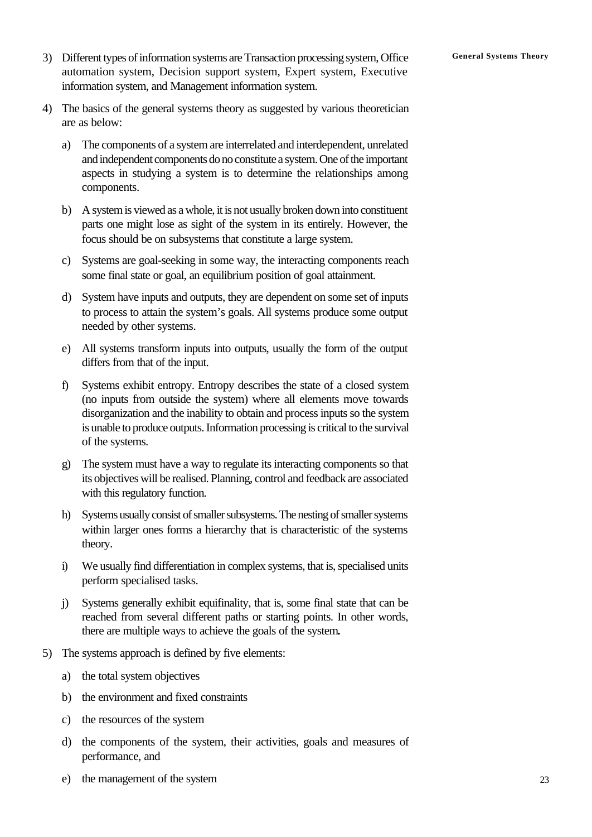- 3) Different types of information systems are Transaction processing system, Office **General Systems Theory** automation system, Decision support system, Expert system, Executive information system, and Management information system.
- 4) The basics of the general systems theory as suggested by various theoretician are as below:
	- a) The components of a system are interrelated and interdependent, unrelated and independent components do no constitute a system. One of the important aspects in studying a system is to determine the relationships among components.
	- b) A system is viewed as a whole, it is not usually broken down into constituent parts one might lose as sight of the system in its entirely. However, the focus should be on subsystems that constitute a large system.
	- c) Systems are goal-seeking in some way, the interacting components reach some final state or goal, an equilibrium position of goal attainment.
	- d) System have inputs and outputs, they are dependent on some set of inputs to process to attain the system's goals. All systems produce some output needed by other systems.
	- e) All systems transform inputs into outputs, usually the form of the output differs from that of the input.
	- f) Systems exhibit entropy. Entropy describes the state of a closed system (no inputs from outside the system) where all elements move towards disorganization and the inability to obtain and process inputs so the system is unable to produce outputs. Information processing is critical to the survival of the systems.
	- g) The system must have a way to regulate its interacting components so that its objectives will be realised. Planning, control and feedback are associated with this regulatory function.
	- h) Systems usually consist of smaller subsystems. The nesting of smaller systems within larger ones forms a hierarchy that is characteristic of the systems theory.
	- i) We usually find differentiation in complex systems, that is, specialised units perform specialised tasks.
	- j) Systems generally exhibit equifinality, that is, some final state that can be reached from several different paths or starting points. In other words, there are multiple ways to achieve the goals of the system**.**
- 5) The systems approach is defined by five elements:
	- a) the total system objectives
	- b) the environment and fixed constraints
	- c) the resources of the system
	- d) the components of the system, their activities, goals and measures of performance, and
	- e) the management of the system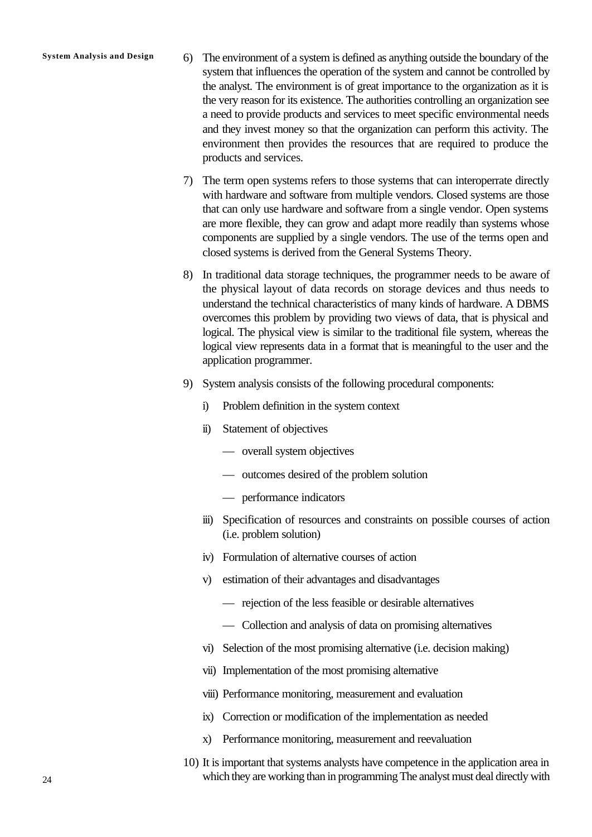- **System Analysis and Design** 6) The environment of a system is defined as anything outside the boundary of the system that influences the operation of the system and cannot be controlled by the analyst. The environment is of great importance to the organization as it is the very reason for its existence. The authorities controlling an organization see a need to provide products and services to meet specific environmental needs and they invest money so that the organization can perform this activity. The environment then provides the resources that are required to produce the products and services.
	- 7) The term open systems refers to those systems that can interoperrate directly with hardware and software from multiple vendors. Closed systems are those that can only use hardware and software from a single vendor. Open systems are more flexible, they can grow and adapt more readily than systems whose components are supplied by a single vendors. The use of the terms open and closed systems is derived from the General Systems Theory.
	- 8) In traditional data storage techniques, the programmer needs to be aware of the physical layout of data records on storage devices and thus needs to understand the technical characteristics of many kinds of hardware. A DBMS overcomes this problem by providing two views of data, that is physical and logical. The physical view is similar to the traditional file system, whereas the logical view represents data in a format that is meaningful to the user and the application programmer.
	- 9) System analysis consists of the following procedural components:
		- i) Problem definition in the system context
		- ii) Statement of objectives
			- overall system objectives
			- outcomes desired of the problem solution
			- performance indicators
		- iii) Specification of resources and constraints on possible courses of action (i.e. problem solution)
		- iv) Formulation of alternative courses of action
		- v) estimation of their advantages and disadvantages
			- rejection of the less feasible or desirable alternatives
			- Collection and analysis of data on promising alternatives
		- vi) Selection of the most promising alternative (i.e. decision making)
		- vii) Implementation of the most promising alternative
		- viii) Performance monitoring, measurement and evaluation
		- ix) Correction or modification of the implementation as needed
		- x) Performance monitoring, measurement and reevaluation
	- 10) It is important that systems analysts have competence in the application area in which they are working than in programming The analyst must deal directly with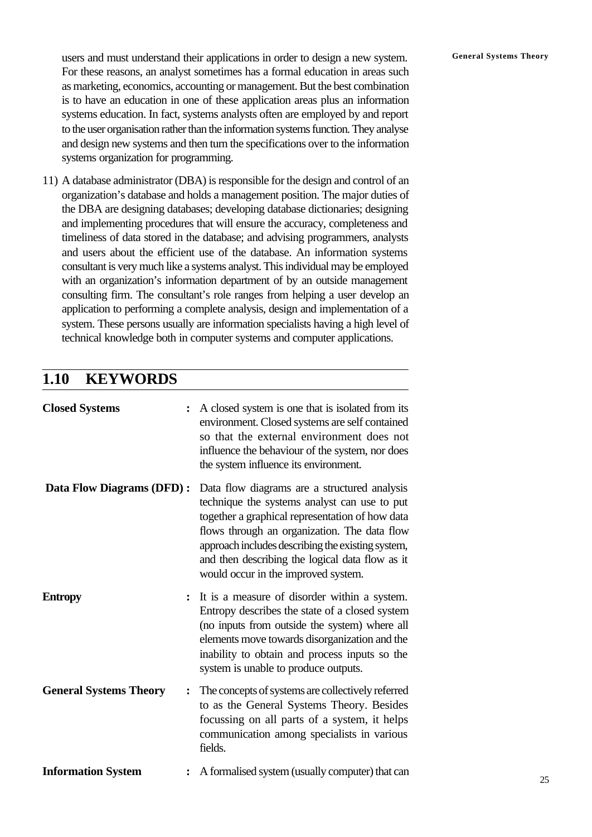users and must understand their applications in order to design a new system. **General Systems Theory** For these reasons, an analyst sometimes has a formal education in areas such as marketing, economics, accounting or management. But the best combination is to have an education in one of these application areas plus an information systems education. In fact, systems analysts often are employed by and report to the user organisation rather than the information systems function. They analyse and design new systems and then turn the specifications over to the information systems organization for programming.

11) A database administrator (DBA) is responsible for the design and control of an organization's database and holds a management position. The major duties of the DBA are designing databases; developing database dictionaries; designing and implementing procedures that will ensure the accuracy, completeness and timeliness of data stored in the database; and advising programmers, analysts and users about the efficient use of the database. An information systems consultant is very much like a systems analyst. This individual may be employed with an organization's information department of by an outside management consulting firm. The consultant's role ranges from helping a user develop an application to performing a complete analysis, design and implementation of a system. These persons usually are information specialists having a high level of technical knowledge both in computer systems and computer applications.

# **1.10 KEYWORDS**

| <b>Closed Systems</b>         | A closed system is one that is isolated from its<br>environment. Closed systems are self contained<br>so that the external environment does not<br>influence the behaviour of the system, nor does<br>the system influence its environment.                                                                                                    |
|-------------------------------|------------------------------------------------------------------------------------------------------------------------------------------------------------------------------------------------------------------------------------------------------------------------------------------------------------------------------------------------|
| Data Flow Diagrams (DFD) :    | Data flow diagrams are a structured analysis<br>technique the systems analyst can use to put<br>together a graphical representation of how data<br>flows through an organization. The data flow<br>approach includes describing the existing system,<br>and then describing the logical data flow as it<br>would occur in the improved system. |
| <b>Entropy</b>                | It is a measure of disorder within a system.<br>Entropy describes the state of a closed system<br>(no inputs from outside the system) where all<br>elements move towards disorganization and the<br>inability to obtain and process inputs so the<br>system is unable to produce outputs.                                                      |
| <b>General Systems Theory</b> | The concepts of systems are collectively referred<br>to as the General Systems Theory. Besides<br>focussing on all parts of a system, it helps<br>communication among specialists in various<br>fields.                                                                                                                                        |
| <b>Information System</b>     | A formalised system (usually computer) that can                                                                                                                                                                                                                                                                                                |